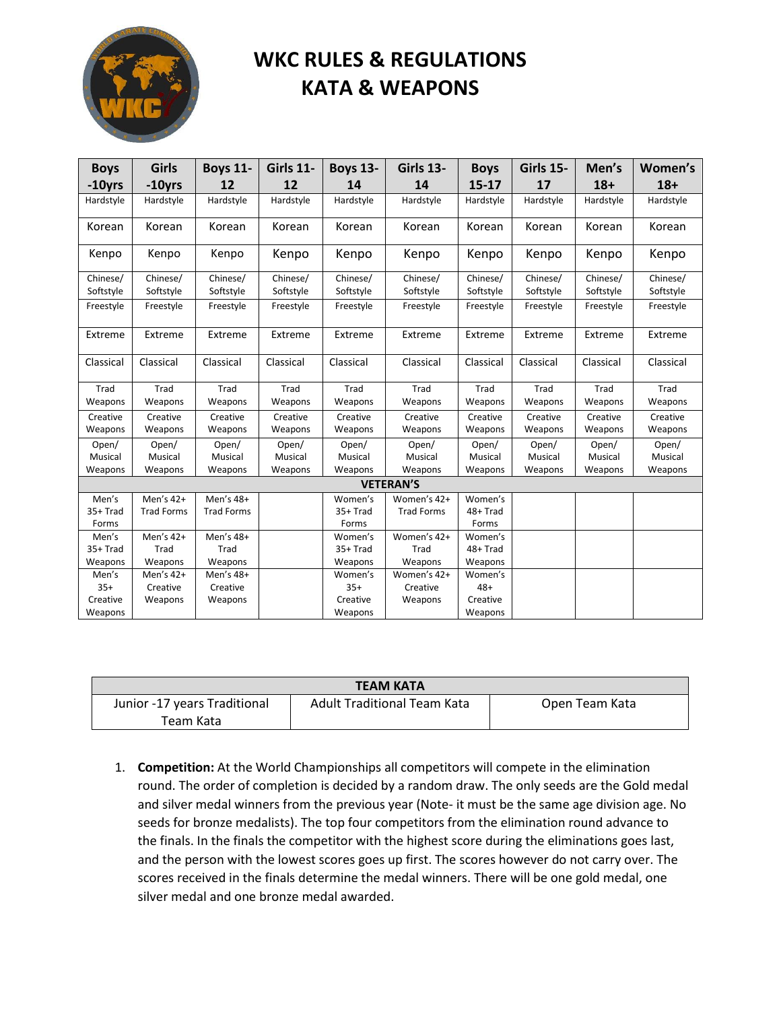

| <b>Boys</b>       | <b>Girls</b>        | <b>Boys 11-</b>     | <b>Girls 11-</b> | <b>Boys 13-</b>  | <b>Girls 13-</b>    | <b>Boys</b>      | <b>Girls 15-</b> | Men's     | Women's   |
|-------------------|---------------------|---------------------|------------------|------------------|---------------------|------------------|------------------|-----------|-----------|
| $-10$ yrs         | $-10$ yrs           | 12                  | 12               | 14               | 14                  | $15 - 17$        | 17               | $18+$     | $18+$     |
| Hardstyle         | Hardstyle           | Hardstyle           | Hardstyle        | Hardstyle        | Hardstyle           | Hardstyle        | Hardstyle        | Hardstyle | Hardstyle |
| Korean            | Korean              | Korean              | Korean           | Korean           | Korean              | Korean           | Korean           | Korean    | Korean    |
| Kenpo             | Kenpo               | Kenpo               | Kenpo            | Kenpo            | Kenpo               | Kenpo            | Kenpo            | Kenpo     | Kenpo     |
| Chinese/          | Chinese/            | Chinese/            | Chinese/         | Chinese/         | Chinese/            | Chinese/         | Chinese/         | Chinese/  | Chinese/  |
| Softstyle         | Softstyle           | Softstyle           | Softstyle        | Softstyle        | Softstyle           | Softstyle        | Softstyle        | Softstyle | Softstyle |
| Freestyle         | Freestyle           | Freestyle           | Freestyle        | Freestyle        | Freestyle           | Freestyle        | Freestyle        | Freestyle | Freestyle |
| Extreme           | Extreme             | Extreme             | Extreme          | Extreme          | Extreme             | Extreme          | Extreme          | Extreme   | Extreme   |
| Classical         | Classical           | Classical           | Classical        | Classical        | Classical           | Classical        | Classical        | Classical | Classical |
| Trad              | Trad                | Trad                | Trad             | Trad             | Trad                | Trad             | Trad             | Trad      | Trad      |
| Weapons           | Weapons             | Weapons             | Weapons          | Weapons          | Weapons             | Weapons          | Weapons          | Weapons   | Weapons   |
| Creative          | Creative            | Creative            | Creative         | Creative         | Creative            | Creative         | Creative         | Creative  | Creative  |
| Weapons           | Weapons             | Weapons             | Weapons          | Weapons          | Weapons             | Weapons          | Weapons          | Weapons   | Weapons   |
| Open/             | Open/               | Open/               | Open/            | Open/            | Open/               | Open/            | Open/            | Open/     | Open/     |
| Musical           | Musical             | Musical             | Musical          | Musical          | Musical             | Musical          | Musical          | Musical   | Musical   |
| Weapons           | Weapons             | Weapons             | Weapons          | Weapons          | Weapons             | Weapons          | Weapons          | Weapons   | Weapons   |
| <b>VETERAN'S</b>  |                     |                     |                  |                  |                     |                  |                  |           |           |
| Men's             | Men's 42+           | Men's 48+           |                  | Women's          | Women's 42+         | Women's          |                  |           |           |
| 35+ Trad          | <b>Trad Forms</b>   | <b>Trad Forms</b>   |                  | 35+ Trad         | <b>Trad Forms</b>   | 48+ Trad         |                  |           |           |
| Forms             |                     |                     |                  | Forms            |                     | Forms            |                  |           |           |
| Men's             | Men's 42+           | Men's 48+           |                  | Women's          | Women's 42+         | Women's          |                  |           |           |
| 35+ Trad          | Trad                | Trad                |                  | 35+ Trad         | Trad                | 48+ Trad         |                  |           |           |
| Weapons           | Weapons             | Weapons             |                  | Weapons          | Weapons             | Weapons          |                  |           |           |
| Men's             | Men's 42+           | Men's 48+           |                  | Women's<br>$35+$ | Women's 42+         | Women's<br>$48+$ |                  |           |           |
| $35+$<br>Creative | Creative<br>Weapons | Creative<br>Weapons |                  | Creative         | Creative<br>Weapons | Creative         |                  |           |           |
| Weapons           |                     |                     |                  | Weapons          |                     | Weapons          |                  |           |           |

| <b>TEAM KATA</b>             |                                    |                |  |  |  |  |  |  |
|------------------------------|------------------------------------|----------------|--|--|--|--|--|--|
| Junior -17 years Traditional | <b>Adult Traditional Team Kata</b> | Open Team Kata |  |  |  |  |  |  |
| Team Kata                    |                                    |                |  |  |  |  |  |  |

1. **Competition:** At the World Championships all competitors will compete in the elimination round. The order of completion is decided by a random draw. The only seeds are the Gold medal and silver medal winners from the previous year (Note- it must be the same age division age. No seeds for bronze medalists). The top four competitors from the elimination round advance to the finals. In the finals the competitor with the highest score during the eliminations goes last, and the person with the lowest scores goes up first. The scores however do not carry over. The scores received in the finals determine the medal winners. There will be one gold medal, one silver medal and one bronze medal awarded.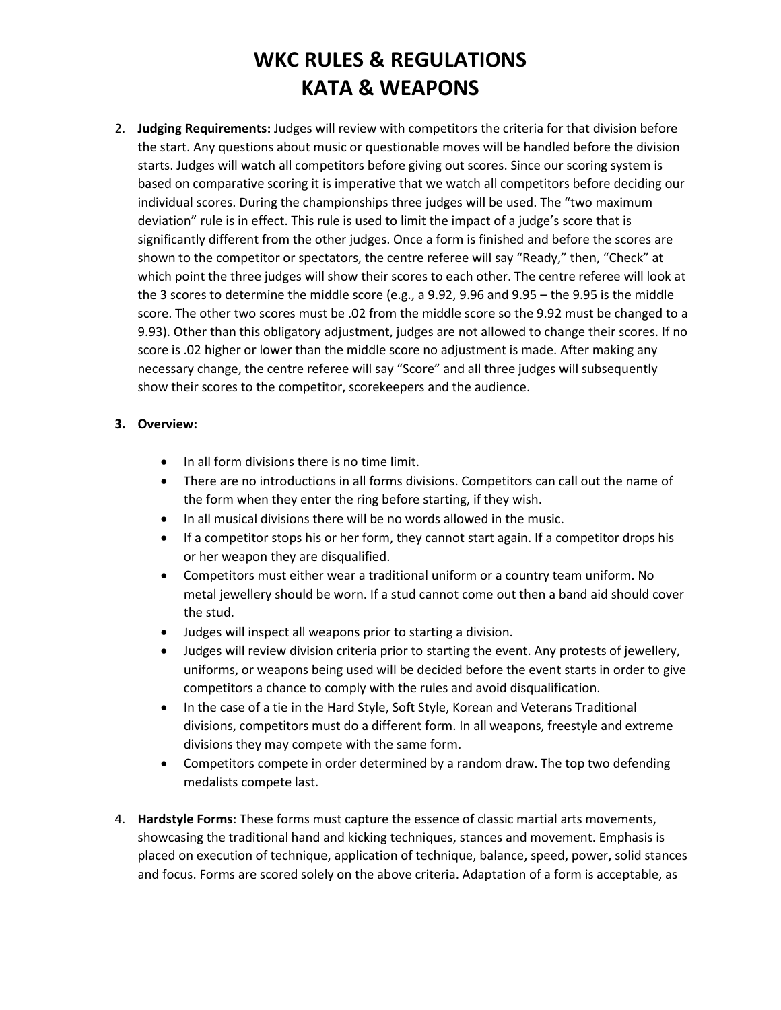2. **Judging Requirements:** Judges will review with competitors the criteria for that division before the start. Any questions about music or questionable moves will be handled before the division starts. Judges will watch all competitors before giving out scores. Since our scoring system is based on comparative scoring it is imperative that we watch all competitors before deciding our individual scores. During the championships three judges will be used. The "two maximum deviation" rule is in effect. This rule is used to limit the impact of a judge's score that is significantly different from the other judges. Once a form is finished and before the scores are shown to the competitor or spectators, the centre referee will say "Ready," then, "Check" at which point the three judges will show their scores to each other. The centre referee will look at the 3 scores to determine the middle score (e.g., a 9.92, 9.96 and 9.95 – the 9.95 is the middle score. The other two scores must be .02 from the middle score so the 9.92 must be changed to a 9.93). Other than this obligatory adjustment, judges are not allowed to change their scores. If no score is .02 higher or lower than the middle score no adjustment is made. After making any necessary change, the centre referee will say "Score" and all three judges will subsequently show their scores to the competitor, scorekeepers and the audience.

#### **3. Overview:**

- In all form divisions there is no time limit.
- There are no introductions in all forms divisions. Competitors can call out the name of the form when they enter the ring before starting, if they wish.
- In all musical divisions there will be no words allowed in the music.
- If a competitor stops his or her form, they cannot start again. If a competitor drops his or her weapon they are disqualified.
- Competitors must either wear a traditional uniform or a country team uniform. No metal jewellery should be worn. If a stud cannot come out then a band aid should cover the stud.
- Judges will inspect all weapons prior to starting a division.
- Judges will review division criteria prior to starting the event. Any protests of jewellery, uniforms, or weapons being used will be decided before the event starts in order to give competitors a chance to comply with the rules and avoid disqualification.
- In the case of a tie in the Hard Style, Soft Style, Korean and Veterans Traditional divisions, competitors must do a different form. In all weapons, freestyle and extreme divisions they may compete with the same form.
- Competitors compete in order determined by a random draw. The top two defending medalists compete last.
- 4. **Hardstyle Forms**: These forms must capture the essence of classic martial arts movements, showcasing the traditional hand and kicking techniques, stances and movement. Emphasis is placed on execution of technique, application of technique, balance, speed, power, solid stances and focus. Forms are scored solely on the above criteria. Adaptation of a form is acceptable, as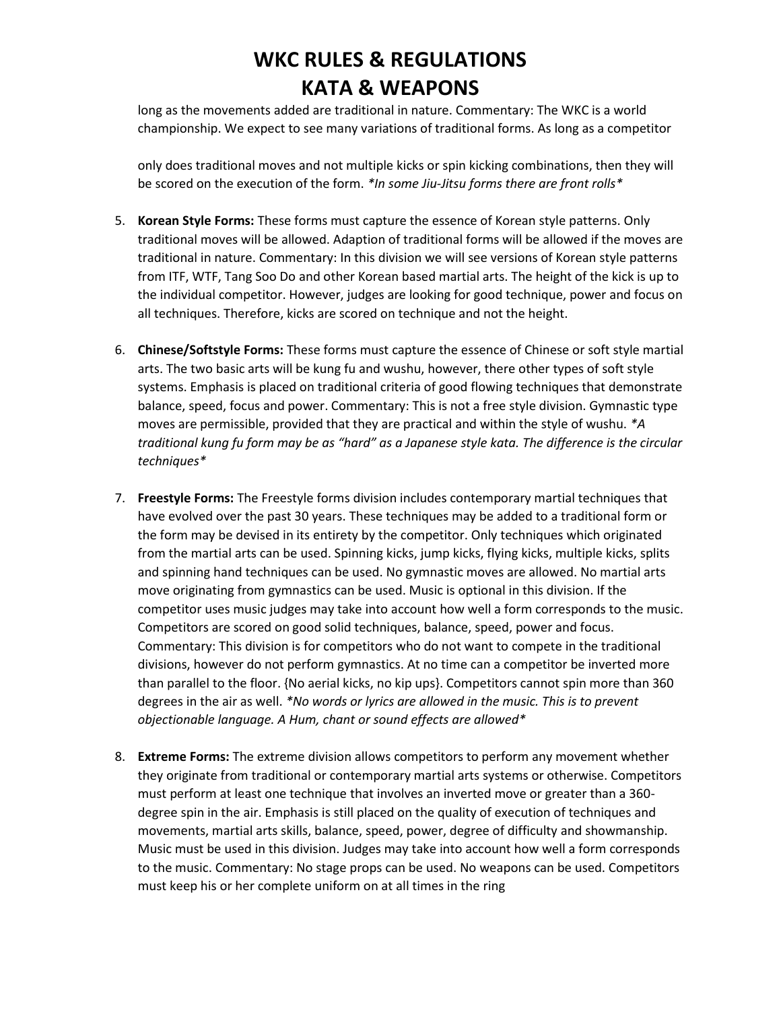long as the movements added are traditional in nature. Commentary: The WKC is a world championship. We expect to see many variations of traditional forms. As long as a competitor

only does traditional moves and not multiple kicks or spin kicking combinations, then they will be scored on the execution of the form. *\*In some Jiu-Jitsu forms there are front rolls\**

- 5. **Korean Style Forms:** These forms must capture the essence of Korean style patterns. Only traditional moves will be allowed. Adaption of traditional forms will be allowed if the moves are traditional in nature. Commentary: In this division we will see versions of Korean style patterns from ITF, WTF, Tang Soo Do and other Korean based martial arts. The height of the kick is up to the individual competitor. However, judges are looking for good technique, power and focus on all techniques. Therefore, kicks are scored on technique and not the height.
- 6. **Chinese/Softstyle Forms:** These forms must capture the essence of Chinese or soft style martial arts. The two basic arts will be kung fu and wushu, however, there other types of soft style systems. Emphasis is placed on traditional criteria of good flowing techniques that demonstrate balance, speed, focus and power. Commentary: This is not a free style division. Gymnastic type moves are permissible, provided that they are practical and within the style of wushu. *\*A traditional kung fu form may be as "hard" as a Japanese style kata. The difference is the circular techniques\**
- 7. **Freestyle Forms:** The Freestyle forms division includes contemporary martial techniques that have evolved over the past 30 years. These techniques may be added to a traditional form or the form may be devised in its entirety by the competitor. Only techniques which originated from the martial arts can be used. Spinning kicks, jump kicks, flying kicks, multiple kicks, splits and spinning hand techniques can be used. No gymnastic moves are allowed. No martial arts move originating from gymnastics can be used. Music is optional in this division. If the competitor uses music judges may take into account how well a form corresponds to the music. Competitors are scored on good solid techniques, balance, speed, power and focus. Commentary: This division is for competitors who do not want to compete in the traditional divisions, however do not perform gymnastics. At no time can a competitor be inverted more than parallel to the floor. {No aerial kicks, no kip ups}. Competitors cannot spin more than 360 degrees in the air as well. *\*No words or lyrics are allowed in the music. This is to prevent objectionable language. A Hum, chant or sound effects are allowed\**
- 8. **Extreme Forms:** The extreme division allows competitors to perform any movement whether they originate from traditional or contemporary martial arts systems or otherwise. Competitors must perform at least one technique that involves an inverted move or greater than a 360 degree spin in the air. Emphasis is still placed on the quality of execution of techniques and movements, martial arts skills, balance, speed, power, degree of difficulty and showmanship. Music must be used in this division. Judges may take into account how well a form corresponds to the music. Commentary: No stage props can be used. No weapons can be used. Competitors must keep his or her complete uniform on at all times in the ring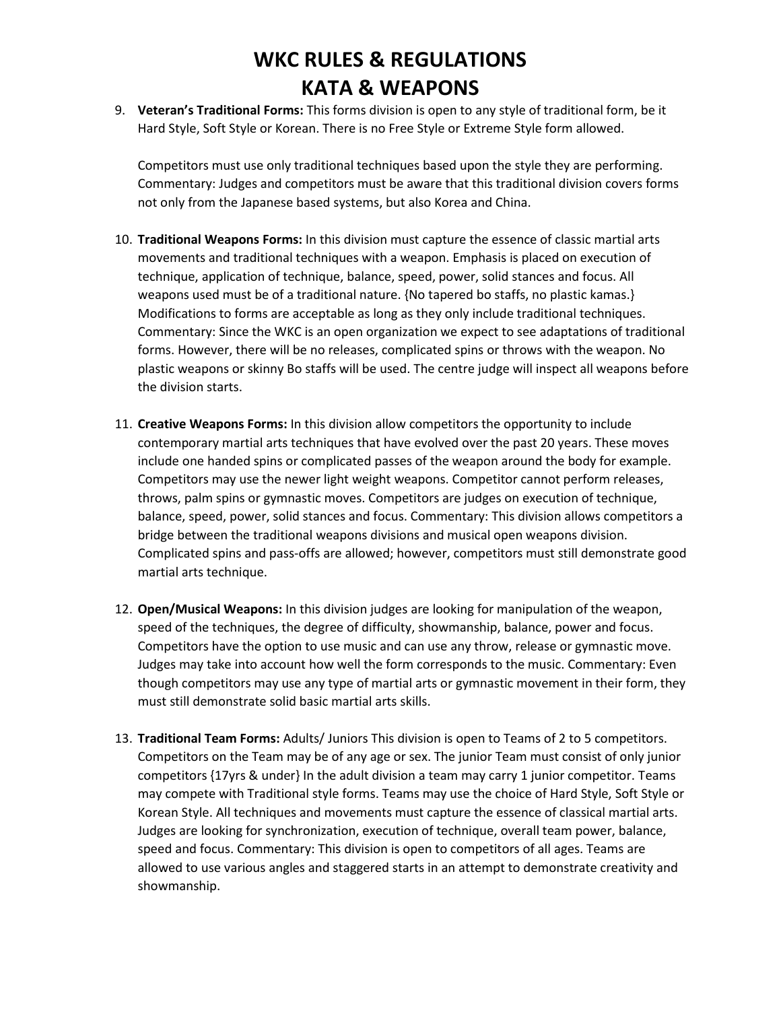9. **Veteran's Traditional Forms:** This forms division is open to any style of traditional form, be it Hard Style, Soft Style or Korean. There is no Free Style or Extreme Style form allowed.

Competitors must use only traditional techniques based upon the style they are performing. Commentary: Judges and competitors must be aware that this traditional division covers forms not only from the Japanese based systems, but also Korea and China.

- 10. **Traditional Weapons Forms:** In this division must capture the essence of classic martial arts movements and traditional techniques with a weapon. Emphasis is placed on execution of technique, application of technique, balance, speed, power, solid stances and focus. All weapons used must be of a traditional nature. {No tapered bo staffs, no plastic kamas.} Modifications to forms are acceptable as long as they only include traditional techniques. Commentary: Since the WKC is an open organization we expect to see adaptations of traditional forms. However, there will be no releases, complicated spins or throws with the weapon. No plastic weapons or skinny Bo staffs will be used. The centre judge will inspect all weapons before the division starts.
- 11. **Creative Weapons Forms:** In this division allow competitors the opportunity to include contemporary martial arts techniques that have evolved over the past 20 years. These moves include one handed spins or complicated passes of the weapon around the body for example. Competitors may use the newer light weight weapons. Competitor cannot perform releases, throws, palm spins or gymnastic moves. Competitors are judges on execution of technique, balance, speed, power, solid stances and focus. Commentary: This division allows competitors a bridge between the traditional weapons divisions and musical open weapons division. Complicated spins and pass-offs are allowed; however, competitors must still demonstrate good martial arts technique.
- 12. **Open/Musical Weapons:** In this division judges are looking for manipulation of the weapon, speed of the techniques, the degree of difficulty, showmanship, balance, power and focus. Competitors have the option to use music and can use any throw, release or gymnastic move. Judges may take into account how well the form corresponds to the music. Commentary: Even though competitors may use any type of martial arts or gymnastic movement in their form, they must still demonstrate solid basic martial arts skills.
- 13. **Traditional Team Forms:** Adults/ Juniors This division is open to Teams of 2 to 5 competitors. Competitors on the Team may be of any age or sex. The junior Team must consist of only junior competitors {17yrs & under} In the adult division a team may carry 1 junior competitor. Teams may compete with Traditional style forms. Teams may use the choice of Hard Style, Soft Style or Korean Style. All techniques and movements must capture the essence of classical martial arts. Judges are looking for synchronization, execution of technique, overall team power, balance, speed and focus. Commentary: This division is open to competitors of all ages. Teams are allowed to use various angles and staggered starts in an attempt to demonstrate creativity and showmanship.